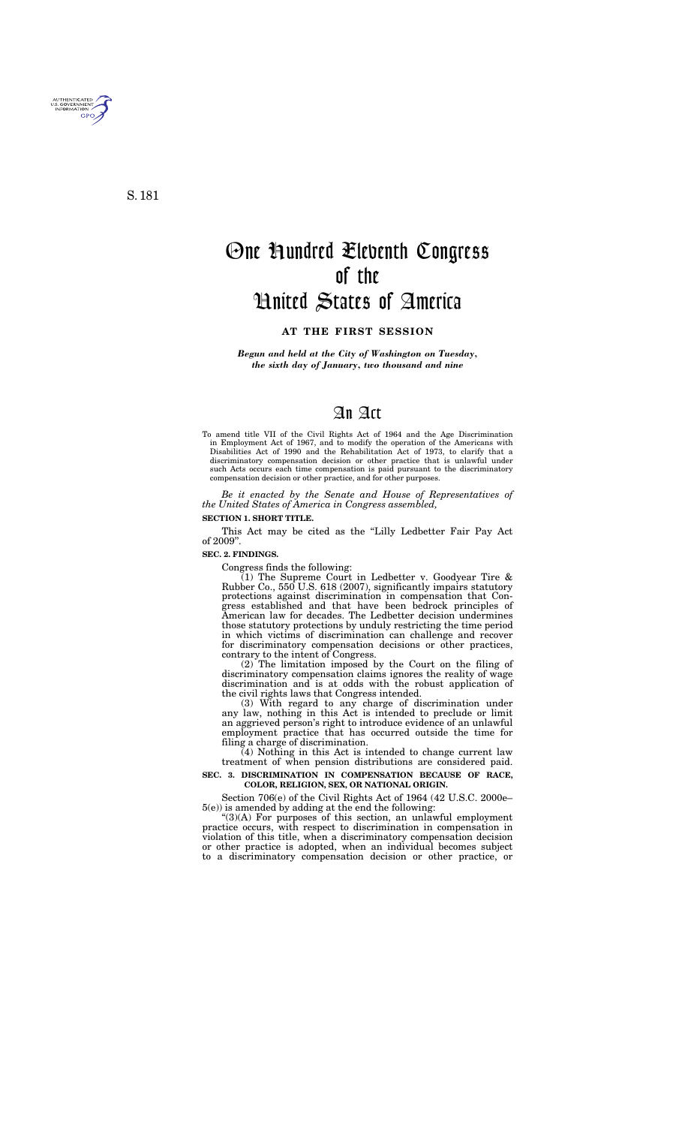*Begun and held at the City of Washington on Tuesday, the sixth day of January, two thousand and nine* 

# An Act

To amend title VII of the Civil Rights Act of 1964 and the Age Discrimination in Employment Act of 1967, and to modify the operation of the Americans with Disabilities Act of 1990 and the Rehabilitation Act of 1973, to clarify that a discriminatory compensation decision or other practice that is unlawful under such Acts occurs each time compensation is paid pursuant to the discriminatory compensation decision or other practice, and for other purposes.

*Be it enacted by the Senate and House of Representatives of the United States of America in Congress assembled,* 

### **SECTION 1. SHORT TITLE.**

This Act may be cited as the "Lilly Ledbetter Fair Pay Act of 2009''.

### **SEC. 2. FINDINGS.**

Congress finds the following:

 $(1)$  The Supreme Court in Ledbetter v. Goodyear Tire & Rubber Co., 550 U.S. 618 (2007), significantly impairs statutory protections against discrimination in compensation that Congress established and that have been bedrock principles of American law for decades. The Ledbetter decision undermines those statutory protections by unduly restricting the time period in which victims of discrimination can challenge and recover for discriminatory compensation decisions or other practices, contrary to the intent of Congress.

(2) The limitation imposed by the Court on the filing of discriminatory compensation claims ignores the reality of wage discrimination and is at odds with the robust application of the civil rights laws that Congress intended.

(3) With regard to any charge of discrimination under any law, nothing in this Act is intended to preclude or limit an aggrieved person's right to introduce evidence of an unlawful employment practice that has occurred outside the time for filing a charge of discrimination.

 $(4)$  Nothing in this Act is intended to change current law treatment of when pension distributions are considered paid.

### **SEC. 3. DISCRIMINATION IN COMPENSATION BECAUSE OF RACE, COLOR, RELIGION, SEX, OR NATIONAL ORIGIN.**

Section 706(e) of the Civil Rights Act of 1964 (42 U.S.C. 2000e– 5(e)) is amended by adding at the end the following:

 $^{\prime\prime}(3)$ (A) For purposes of this section, an unlawful employment practice occurs, with respect to discrimination in compensation in violation of this title, when a discriminatory compensation decision or other practice is adopted, when an individual becomes subject to a discriminatory compensation decision or other practice, or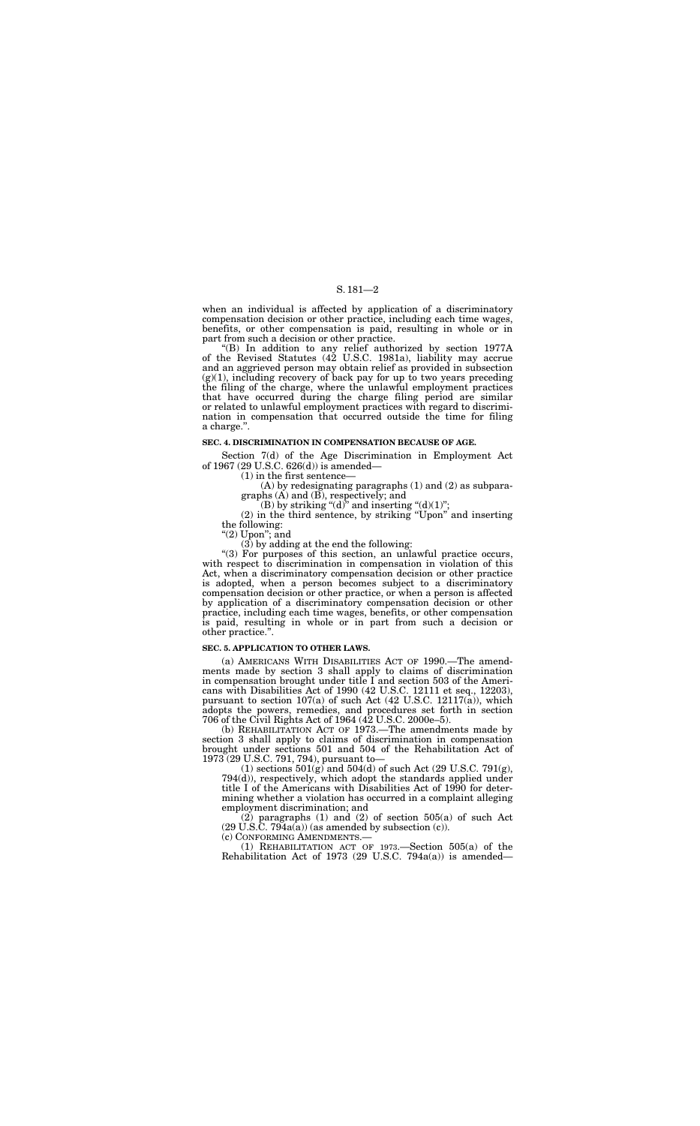## S. 181—2

when an individual is affected by application of a discriminatory compensation decision or other practice, including each time wages, benefits, or other compensation is paid, resulting in whole or in part from such a decision or other practice.

''(B) In addition to any relief authorized by section 1977A of the Revised Statutes (42 U.S.C. 1981a), liability may accrue and an aggrieved person may obtain relief as provided in subsection  $(g)(1)$ , including recovery of back pay for up to two years preceding the filing of the charge, where the unlawful employment practices that have occurred during the charge filing period are similar or related to unlawful employment practices with regard to discrimination in compensation that occurred outside the time for filing a charge.''.

### **SEC. 4. DISCRIMINATION IN COMPENSATION BECAUSE OF AGE.**

Section 7(d) of the Age Discrimination in Employment Act of 1967 (29 U.S.C. 626(d)) is amended—

"(3) For purposes of this section, an unlawful practice occurs, with respect to discrimination in compensation in violation of this Act, when a discriminatory compensation decision or other practice is adopted, when a person becomes subject to a discriminatory compensation decision or other practice, or when a person is affected by application of a discriminatory compensation decision or other practice, including each time wages, benefits, or other compensation is paid, resulting in whole or in part from such a decision or other practice.''.

(1) in the first sentence—

(A) by redesignating paragraphs (1) and (2) as subparagraphs (A) and (B), respectively; and

(B) by striking " $(d)$ " and inserting " $(d)(1)$ ";

(2) in the third sentence, by striking ''Upon'' and inserting the following:

''(2) Upon''; and

(3) by adding at the end the following:

(1) sections  $501(g)$  and  $504(d)$  of such Act (29 U.S.C. 791(g), 794(d)), respectively, which adopt the standards applied under title I of the Americans with Disabilities Act of 1990 for determining whether a violation has occurred in a complaint alleging employment discrimination; and

(2) paragraphs (1) and (2) of section 505(a) of such Act  $(29 \text{ U.S.C. } 794a(a))$  (as amended by subsection (c)).

### **SEC. 5. APPLICATION TO OTHER LAWS.**

(a) AMERICANS WITH DISABILITIES ACT OF 1990.—The amendments made by section 3 shall apply to claims of discrimination in compensation brought under title I and section 503 of the Americans with Disabilities Act of 1990 (42 U.S.C. 12111 et seq., 12203), pursuant to section  $107(a)$  of such Act (42 U.S.C. 12117( $\bar{a}$ )), which adopts the powers, remedies, and procedures set forth in section 706 of the Civil Rights Act of 1964 (42 U.S.C. 2000e–5).

(b) REHABILITATION ACT OF 1973.—The amendments made by section 3 shall apply to claims of discrimination in compensation brought under sections 501 and 504 of the Rehabilitation Act of 1973 (29 U.S.C. 791, 794), pursuant to—

(c) CONFORMING AMENDMENTS.— (1) REHABILITATION ACT OF 1973.—Section 505(a) of the Rehabilitation Act of 1973 (29 U.S.C. 794a(a)) is amended—